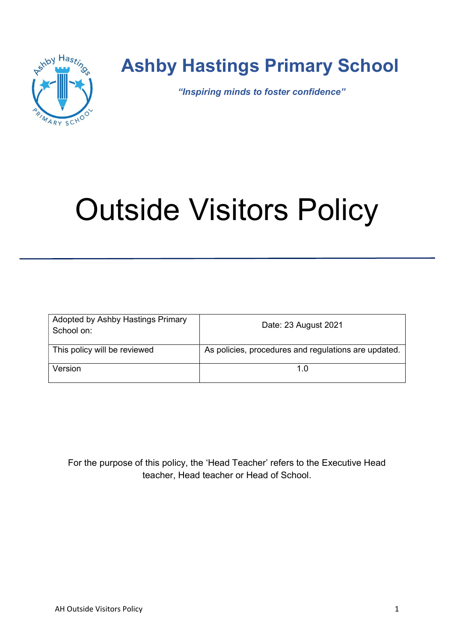

# Ashby Hastings Primary School

"Inspiring minds to foster confidence"

# Outside Visitors Policy

| Adopted by Ashby Hastings Primary<br>School on: | Date: 23 August 2021                                 |
|-------------------------------------------------|------------------------------------------------------|
| This policy will be reviewed                    | As policies, procedures and regulations are updated. |
| Version                                         | 1 በ                                                  |

For the purpose of this policy, the 'Head Teacher' refers to the Executive Head teacher, Head teacher or Head of School.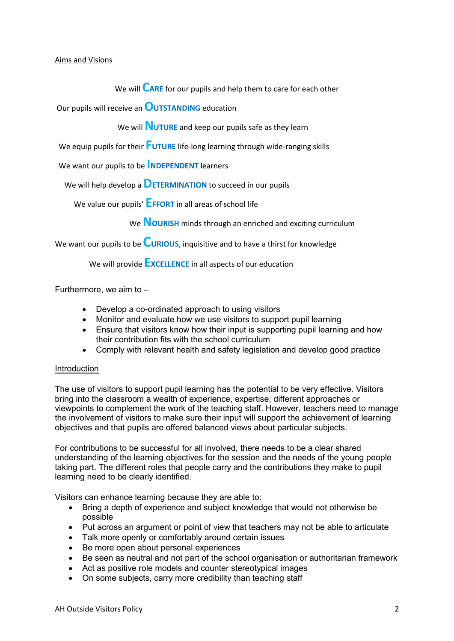#### Aims and Visions

We will  $\overline{\mathsf{C}}$ ARE for our pupils and help them to care for each other

Our pupils will receive an OUTSTANDING education

We will **NUTURE** and keep our pupils safe as they learn

We equip pupils for their  $\overline{\mathsf{F}}$ UTURE life-long learning through wide-ranging skills

We want our pupils to be **NDEPENDENT** learners

We will help develop a  $\mathsf{D}\text{E}$ TERMINATION to succeed in our pupils

We value our pupils' **EFFORT** in all areas of school life

We **NOURISH** minds through an enriched and exciting curriculum

We want our pupils to be **CURIOUS**, inquisitive and to have a thirst for knowledge

We will provide **EXCELLENCE** in all aspects of our education

Furthermore, we aim to  $-$ 

- Develop a co-ordinated approach to using visitors
- Monitor and evaluate how we use visitors to support pupil learning
- Ensure that visitors know how their input is supporting pupil learning and how their contribution fits with the school curriculum
- Comply with relevant health and safety legislation and develop good practice

# **Introduction**

The use of visitors to support pupil learning has the potential to be very effective. Visitors bring into the classroom a wealth of experience, expertise, different approaches or viewpoints to complement the work of the teaching staff. However, teachers need to manage the involvement of visitors to make sure their input will support the achievement of learning objectives and that pupils are offered balanced views about particular subjects.

For contributions to be successful for all involved, there needs to be a clear shared understanding of the learning objectives for the session and the needs of the young people taking part. The different roles that people carry and the contributions they make to pupil learning need to be clearly identified.

Visitors can enhance learning because they are able to:

- Bring a depth of experience and subject knowledge that would not otherwise be possible
- Put across an argument or point of view that teachers may not be able to articulate
- Talk more openly or comfortably around certain issues
- Be more open about personal experiences
- Be seen as neutral and not part of the school organisation or authoritarian framework
- Act as positive role models and counter stereotypical images
- On some subjects, carry more credibility than teaching staff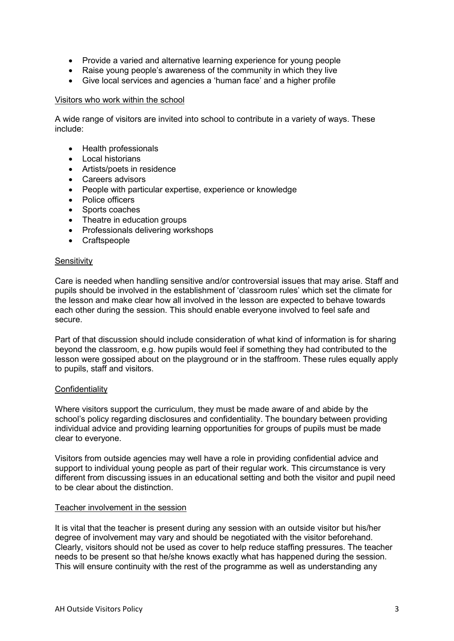- Provide a varied and alternative learning experience for young people
- Raise young people's awareness of the community in which they live
- Give local services and agencies a 'human face' and a higher profile

# Visitors who work within the school

A wide range of visitors are invited into school to contribute in a variety of ways. These include:

- Health professionals
- Local historians
- Artists/poets in residence
- Careers advisors
- People with particular expertise, experience or knowledge
- Police officers
- Sports coaches
- Theatre in education groups
- Professionals delivering workshops
- Craftspeople

### **Sensitivity**

Care is needed when handling sensitive and/or controversial issues that may arise. Staff and pupils should be involved in the establishment of 'classroom rules' which set the climate for the lesson and make clear how all involved in the lesson are expected to behave towards each other during the session. This should enable everyone involved to feel safe and secure.

Part of that discussion should include consideration of what kind of information is for sharing beyond the classroom, e.g. how pupils would feel if something they had contributed to the lesson were gossiped about on the playground or in the staffroom. These rules equally apply to pupils, staff and visitors.

#### **Confidentiality**

Where visitors support the curriculum, they must be made aware of and abide by the school's policy regarding disclosures and confidentiality. The boundary between providing individual advice and providing learning opportunities for groups of pupils must be made clear to everyone.

Visitors from outside agencies may well have a role in providing confidential advice and support to individual young people as part of their regular work. This circumstance is very different from discussing issues in an educational setting and both the visitor and pupil need to be clear about the distinction.

#### Teacher involvement in the session

It is vital that the teacher is present during any session with an outside visitor but his/her degree of involvement may vary and should be negotiated with the visitor beforehand. Clearly, visitors should not be used as cover to help reduce staffing pressures. The teacher needs to be present so that he/she knows exactly what has happened during the session. This will ensure continuity with the rest of the programme as well as understanding any